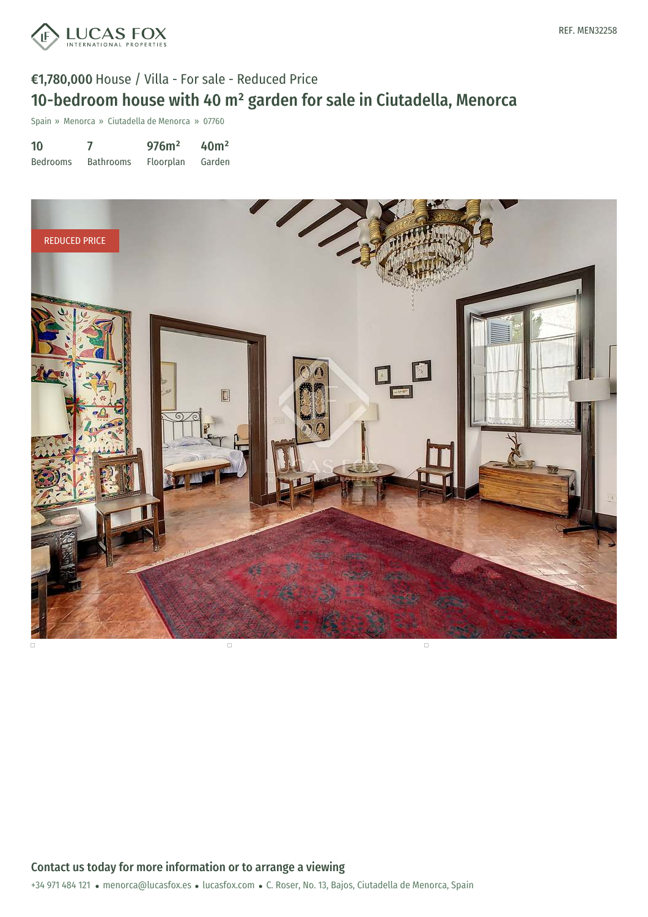



# €1,780,000 House / Villa - For sale - Reduced Price 10-bedroom house with 40 m² garden for sale in Ciutadella, Menorca

Spain » Menorca » Ciutadella de Menorca » 07760

| 10              |                  | 976m <sup>2</sup> | 40 <sup>m²</sup> |
|-----------------|------------------|-------------------|------------------|
| <b>Bedrooms</b> | <b>Bathrooms</b> | <b>Floorplan</b>  | Garden           |

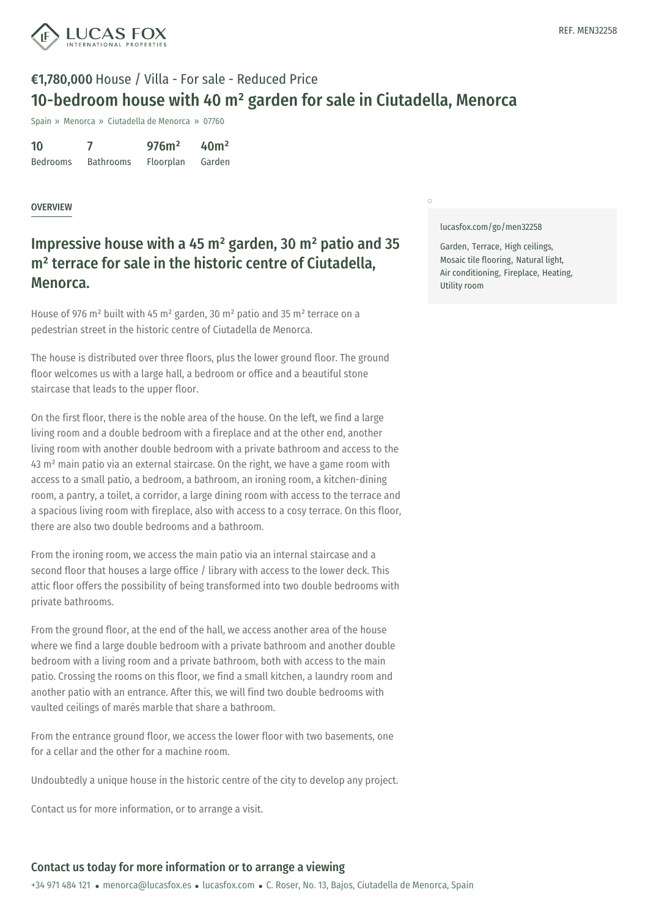

# €1,780,000 House / Villa - For sale - Reduced Price 10-bedroom house with 40 m² garden for sale in Ciutadella, Menorca

Spain » Menorca » Ciutadella de Menorca » 07760

10 Bedrooms 7 Bathrooms 976m² Floorplan 40m² Garden

### OVERVIEW

### Impressive house with a 45 m² garden, 30 m² patio and 35 m<sup>2</sup> terrace for sale in the historic centre of Ciutadella, Menorca.

House of 976 m² built with 45 m² garden, 30 m² patio and 35 m² terrace on a pedestrian street in the historic centre of Ciutadella de Menorca.

The house is distributed over three floors, plus the lower ground floor. The ground floor welcomes us with a large hall, a bedroom or office and a beautiful stone staircase that leads to the upper floor.

On the first floor, there is the noble area of the house. On the left, we find a large living room and a double bedroom with a fireplace and at the other end, another living room with another double bedroom with a private bathroom and access to the 43 m² main patio via an external staircase. On the right, we have a game room with access to a small patio, a bedroom, a bathroom, an ironing room, a kitchen-dining room, a pantry, a toilet, a corridor, a large dining room with access to the terrace and a spacious living room with fireplace, also with access to a cosy terrace. On this floor, there are also two double bedrooms and a bathroom.

From the ironing room, we access the main patio via an internal staircase and a second floor that houses a large office / library with access to the lower deck. This attic floor offers the possibility of being transformed into two double bedrooms with private bathrooms.

From the ground floor, at the end of the hall, we access another area of the house where we find a large double bedroom with a private bathroom and another double bedroom with a living room and a private bathroom, both with access to the main patio. Crossing the rooms on this floor, we find a small kitchen, a laundry room and another patio with an [entrance.](mailto:menorca@lucasfox.es) After this, we [will](https://www.lucasfox.com) find two double bedrooms with vaulted ceilings of marés marble that share a bathroom.

From the entrance ground floor, we access the lower floor with two basements, one for a cellar and the other for a machine room.

Undoubtedly a unique house in the historic centre of the city to develop any project.

Contact us for more information, or to arrange a visit.

#### [lucasfox.com/go/men32258](https://www.lucasfox.com/go/men32258)

 $\overline{a}$ 

Garden, Terrace, High ceilings, Mosaic tile flooring, Natural light, Air conditioning, Fireplace, Heating, Utility room

### Contact us today for more information or to arrange a viewing

+34 971 484 121 · menorca@lucasfox.es · lucasfox.com · C. Roser, No. 13, Bajos, Ciutadella de Menorca, Spain